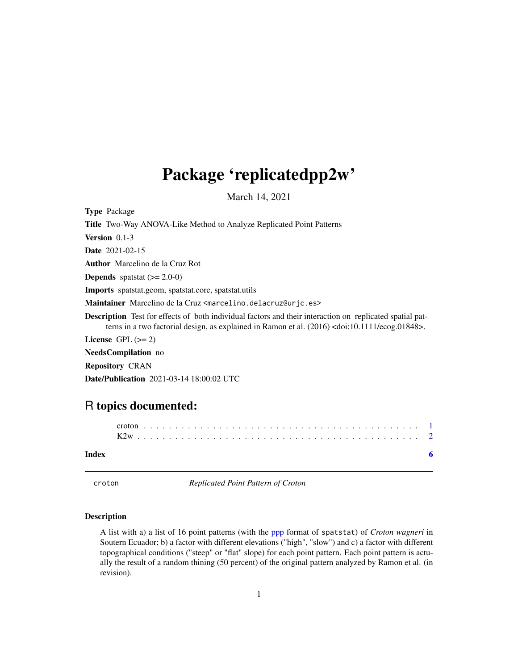## <span id="page-0-0"></span>Package 'replicatedpp2w'

March 14, 2021

<span id="page-0-1"></span>Type Package

Title Two-Way ANOVA-Like Method to Analyze Replicated Point Patterns

Version 0.1-3

Date 2021-02-15

Author Marcelino de la Cruz Rot

**Depends** spatstat  $(>= 2.0-0)$ 

Imports spatstat.geom, spatstat.core, spatstat.utils

Maintainer Marcelino de la Cruz <marcelino.delacruz@urjc.es>

Description Test for effects of both individual factors and their interaction on replicated spatial patterns in a two factorial design, as explained in Ramon et al. (2016) <doi:10.1111/ecog.01848>.

License GPL  $(>= 2)$ 

NeedsCompilation no

Repository CRAN

Date/Publication 2021-03-14 18:00:02 UTC

### R topics documented:

| Index |  |  |  |  |  |  |  |  |  |  |  |  |  |  |  |  |  |  |  |  |  |  |
|-------|--|--|--|--|--|--|--|--|--|--|--|--|--|--|--|--|--|--|--|--|--|--|

croton *Replicated Point Pattern of Croton*

#### **Description**

A list with a) a list of 16 point patterns (with the ppp format of spatstat) of *Croton wagneri* in Soutern Ecuador; b) a factor with different elevations ("high", "slow") and c) a factor with different topographical conditions ("steep" or "flat" slope) for each point pattern. Each point pattern is actually the result of a random thining (50 percent) of the original pattern analyzed by Ramon et al. (in revision).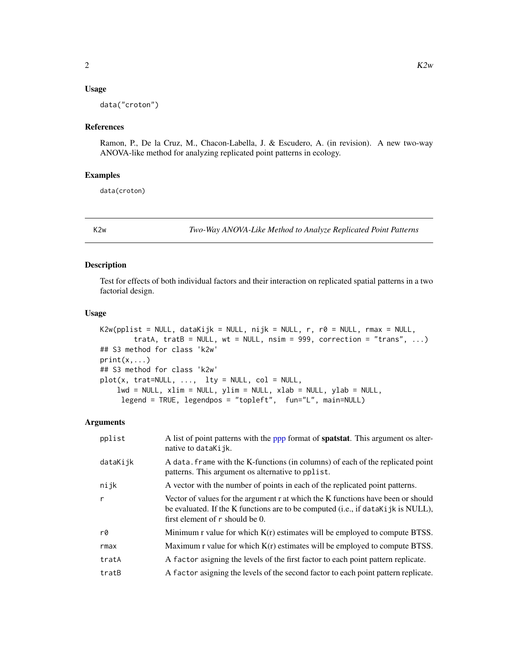#### <span id="page-1-0"></span>Usage

data("croton")

#### References

Ramon, P., De la Cruz, M., Chacon-Labella, J. & Escudero, A. (in revision). A new two-way ANOVA-like method for analyzing replicated point patterns in ecology.

#### Examples

data(croton)

K2w *Two-Way ANOVA-Like Method to Analyze Replicated Point Patterns*

#### Description

Test for effects of both individual factors and their interaction on replicated spatial patterns in a two factorial design.

#### Usage

```
K2w(pplist = NULL, dataKijk = NULL, nijk = NULL, r, r0 = NULL, rmax = NULL,
        tratA, tratB = NULL, wt = NULL, nsim = 999, correction = "trans", ...)
## S3 method for class 'k2w'
print(x, \ldots)## S3 method for class 'k2w'
plot(x, trat=NULL, ..., lty = NULL, col = NULL,
    lwd = NULL, xlim = NULL, ylim = NULL, xlab = NULL, ylab = NULL,
     legend = TRUE, legendpos = "topleft", fun="L", main=NULL)
```
#### Arguments

| pplist       | A list of point patterns with the ppp format of <b>spatstat</b> . This argument os alter-<br>native to dataKijk.                                                                                        |
|--------------|---------------------------------------------------------------------------------------------------------------------------------------------------------------------------------------------------------|
| dataKijk     | A data. frame with the K-functions (in columns) of each of the replicated point<br>patterns. This argument os alternative to pplist.                                                                    |
| nijk         | A vector with the number of points in each of the replicated point patterns.                                                                                                                            |
| $\mathsf{r}$ | Vector of values for the argument r at which the K functions have been or should<br>be evaluated. If the K functions are to be computed (i.e., if dataKijk is NULL),<br>first element of r should be 0. |
| r0           | Minimum r value for which $K(r)$ estimates will be employed to compute BTSS.                                                                                                                            |
| rmax         | Maximum r value for which $K(r)$ estimates will be employed to compute BTSS.                                                                                                                            |
| tratA        | A factor asigning the levels of the first factor to each point pattern replicate.                                                                                                                       |
| tratB        | A factor asigning the levels of the second factor to each point pattern replicate.                                                                                                                      |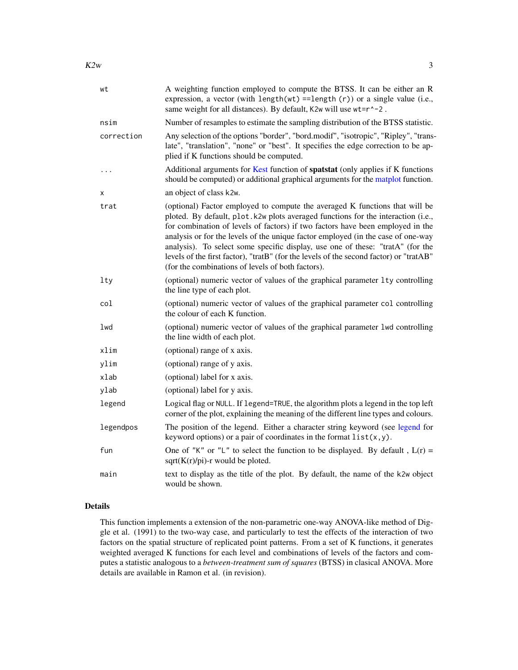<span id="page-2-0"></span>

| wt         | A weighting function employed to compute the BTSS. It can be either an R<br>expression, a vector (with length(wt) == length(r)) or a single value (i.e.,<br>same weight for all distances). By default, K2w will use wt=r^-2.                                                                                                                                                                                                                                                                                                                                          |
|------------|------------------------------------------------------------------------------------------------------------------------------------------------------------------------------------------------------------------------------------------------------------------------------------------------------------------------------------------------------------------------------------------------------------------------------------------------------------------------------------------------------------------------------------------------------------------------|
| nsim       | Number of resamples to estimate the sampling distribution of the BTSS statistic.                                                                                                                                                                                                                                                                                                                                                                                                                                                                                       |
| correction | Any selection of the options "border", "bord.modif", "isotropic", "Ripley", "trans-<br>late", "translation", "none" or "best". It specifies the edge correction to be ap-<br>plied if K functions should be computed.                                                                                                                                                                                                                                                                                                                                                  |
| .          | Additional arguments for Kest function of spatstat (only applies if K functions<br>should be computed) or additional graphical arguments for the matplot function.                                                                                                                                                                                                                                                                                                                                                                                                     |
| x          | an object of class k2w.                                                                                                                                                                                                                                                                                                                                                                                                                                                                                                                                                |
| trat       | (optional) Factor employed to compute the averaged K functions that will be<br>ploted. By default, plot.k2w plots averaged functions for the interaction (i.e.,<br>for combination of levels of factors) if two factors have been employed in the<br>analysis or for the levels of the unique factor employed (in the case of one-way<br>analysis). To select some specific display, use one of these: "tratA" (for the<br>levels of the first factor), "tratB" (for the levels of the second factor) or "tratAB"<br>(for the combinations of levels of both factors). |
| $1$ ty     | (optional) numeric vector of values of the graphical parameter 1ty controlling<br>the line type of each plot.                                                                                                                                                                                                                                                                                                                                                                                                                                                          |
| col        | (optional) numeric vector of values of the graphical parameter col controlling<br>the colour of each K function.                                                                                                                                                                                                                                                                                                                                                                                                                                                       |
| lwd        | (optional) numeric vector of values of the graphical parameter 1wd controlling<br>the line width of each plot.                                                                                                                                                                                                                                                                                                                                                                                                                                                         |
| xlim       | (optional) range of x axis.                                                                                                                                                                                                                                                                                                                                                                                                                                                                                                                                            |
| ylim       | (optional) range of y axis.                                                                                                                                                                                                                                                                                                                                                                                                                                                                                                                                            |
| xlab       | (optional) label for x axis.                                                                                                                                                                                                                                                                                                                                                                                                                                                                                                                                           |
| ylab       | (optional) label for y axis.                                                                                                                                                                                                                                                                                                                                                                                                                                                                                                                                           |
| legend     | Logical flag or NULL. If legend=TRUE, the algorithm plots a legend in the top left<br>corner of the plot, explaining the meaning of the different line types and colours.                                                                                                                                                                                                                                                                                                                                                                                              |
| legendpos  | The position of the legend. Either a character string keyword (see legend for<br>keyword options) or a pair of coordinates in the format $list(x, y)$ .                                                                                                                                                                                                                                                                                                                                                                                                                |
| fun        | One of "K" or "L" to select the function to be displayed. By default, $L(r)$ =<br>sqrt $(K(r)/pi)$ -r would be ploted.                                                                                                                                                                                                                                                                                                                                                                                                                                                 |
| main       | text to display as the title of the plot. By default, the name of the k2w object<br>would be shown.                                                                                                                                                                                                                                                                                                                                                                                                                                                                    |

#### Details

This function implements a extension of the non-parametric one-way ANOVA-like method of Diggle et al. (1991) to the two-way case, and particularly to test the effects of the interaction of two factors on the spatial structure of replicated point patterns. From a set of K functions, it generates weighted averaged K functions for each level and combinations of levels of the factors and computes a statistic analogous to a *between-treatment sum of squares* (BTSS) in clasical ANOVA. More details are available in Ramon et al. (in revision).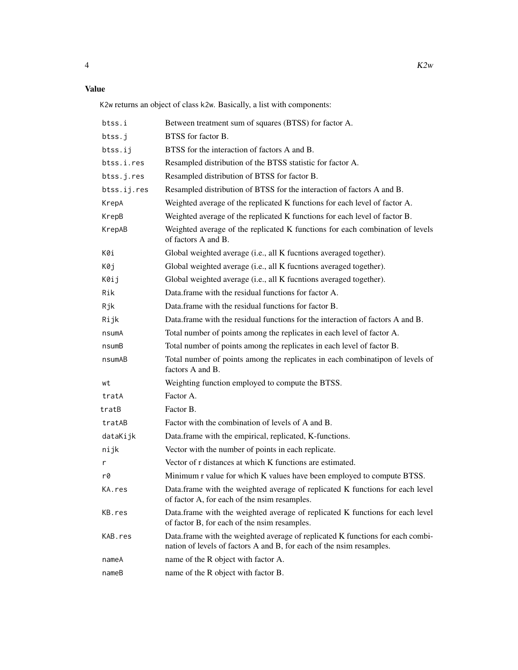#### Value

K2w returns an object of class k2w. Basically, a list with components:

| btss.i      | Between treatment sum of squares (BTSS) for factor A.                                                                                                  |
|-------------|--------------------------------------------------------------------------------------------------------------------------------------------------------|
| btss.j      | BTSS for factor B.                                                                                                                                     |
| btss.ij     | BTSS for the interaction of factors A and B.                                                                                                           |
| btss.i.res  | Resampled distribution of the BTSS statistic for factor A.                                                                                             |
| btss.j.res  | Resampled distribution of BTSS for factor B.                                                                                                           |
| btss.ij.res | Resampled distribution of BTSS for the interaction of factors A and B.                                                                                 |
| KrepA       | Weighted average of the replicated K functions for each level of factor A.                                                                             |
| KrepB       | Weighted average of the replicated K functions for each level of factor B.                                                                             |
| KrepAB      | Weighted average of the replicated K functions for each combination of levels<br>of factors A and B.                                                   |
| K0i         | Global weighted average (i.e., all K fucntions averaged together).                                                                                     |
| K0j         | Global weighted average (i.e., all K fucntions averaged together).                                                                                     |
| K0ij        | Global weighted average (i.e., all K fucntions averaged together).                                                                                     |
| Rik         | Data frame with the residual functions for factor A.                                                                                                   |
| Rjk         | Data.frame with the residual functions for factor B.                                                                                                   |
| Rijk        | Data frame with the residual functions for the interaction of factors A and B.                                                                         |
| nsumA       | Total number of points among the replicates in each level of factor A.                                                                                 |
| nsumB       | Total number of points among the replicates in each level of factor B.                                                                                 |
| nsumAB      | Total number of points among the replicates in each combinatipon of levels of<br>factors A and B.                                                      |
| wt          | Weighting function employed to compute the BTSS.                                                                                                       |
| tratA       | Factor A.                                                                                                                                              |
| tratB       | Factor B.                                                                                                                                              |
| tratAB      | Factor with the combination of levels of A and B.                                                                                                      |
| dataKijk    | Data.frame with the empirical, replicated, K-functions.                                                                                                |
| nijk        | Vector with the number of points in each replicate.                                                                                                    |
| r           | Vector of r distances at which K functions are estimated.                                                                                              |
| r0          | Minimum r value for which K values have been employed to compute BTSS.                                                                                 |
| KA.res      | Data.frame with the weighted average of replicated K functions for each level<br>of factor A, for each of the nsim resamples.                          |
| KB.res      | Data.frame with the weighted average of replicated K functions for each level<br>of factor B, for each of the nsim resamples.                          |
| KAB.res     | Data.frame with the weighted average of replicated K functions for each combi-<br>nation of levels of factors A and B, for each of the nsim resamples. |
| nameA       | name of the R object with factor A.                                                                                                                    |
| nameB       | name of the R object with factor B.                                                                                                                    |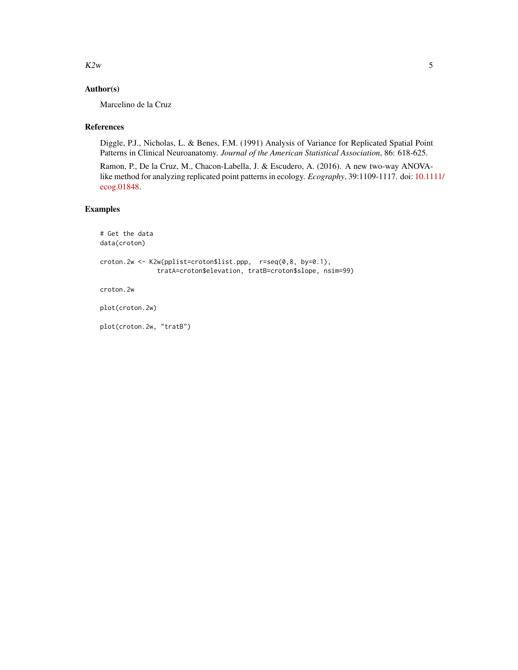$K2w$  5

#### Author(s)

Marcelino de la Cruz

#### References

Diggle, P.J., Nicholas, L. & Benes, F.M. (1991) Analysis of Variance for Replicated Spatial Point Patterns in Clinical Neuroanatomy. *Journal of the American Statistical Association*, 86: 618-625.

Ramon, P., De la Cruz, M., Chacon-Labella, J. & Escudero, A. (2016). A new two-way ANOVAlike method for analyzing replicated point patterns in ecology. *Ecography*, 39:1109-1117. doi: [10.111](https://doi.org/10.1111/ecog.01848)1/ [ecog.01848.](https://doi.org/10.1111/ecog.01848)

#### Examples

```
# Get the data
data(croton)
croton.2w <- K2w(pplist=croton$list.ppp, r=seq(0,8, by=0.1),
               tratA=croton$elevation, tratB=croton$slope, nsim=99)
croton.2w
```
plot(croton.2w)

plot(croton.2w, "tratB")